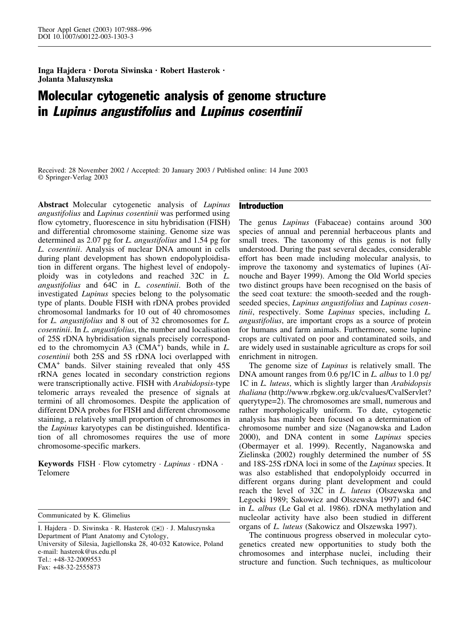Inga Hajdera · Dorota Siwinska · Robert Hasterok · Jolanta Maluszynska

# Molecular cytogenetic analysis of genome structure in Lupinus angustifolius and Lupinus cosentinii

Received: 28 November 2002 / Accepted: 20 January 2003 / Published online: 14 June 2003 Springer-Verlag 2003

Abstract Molecular cytogenetic analysis of Lupinus angustifolius and Lupinus cosentinii was performed using flow cytometry, fluorescence in situ hybridisation (FISH) and differential chromosome staining. Genome size was determined as 2.07 pg for L. angustifolius and 1.54 pg for L. cosentinii. Analysis of nuclear DNA amount in cells during plant development has shown endopolyploidisation in different organs. The highest level of endopolyploidy was in cotyledons and reached 32C in L. angustifolius and 64C in L. cosentinii. Both of the investigated Lupinus species belong to the polysomatic type of plants. Double FISH with rDNA probes provided chromosomal landmarks for 10 out of 40 chromosomes for L. angustifolius and 8 out of 32 chromosomes for L. cosentinii. In L. angustifolius, the number and localisation of 25S rDNA hybridisation signals precisely corresponded to the chromomycin A3  $(CMA<sup>+</sup>)$  bands, while in L. cosentinii both 25S and 5S rDNA loci overlapped with CMA<sup>+</sup> bands. Silver staining revealed that only 45S rRNA genes located in secondary constriction regions were transcriptionally active. FISH with Arabidopsis-type telomeric arrays revealed the presence of signals at termini of all chromosomes. Despite the application of different DNA probes for FISH and different chromosome staining, a relatively small proportion of chromosomes in the Lupinus karyotypes can be distinguished. Identification of all chromosomes requires the use of more chromosome-specific markers.

**Keywords** FISH  $\cdot$  Flow cytometry  $\cdot$  *Lupinus*  $\cdot$  rDNA  $\cdot$ Telomere

Communicated by K. Glimelius

## Introduction

The genus Lupinus (Fabaceae) contains around 300 species of annual and perennial herbaceous plants and small trees. The taxonomy of this genus is not fully understood. During the past several decades, considerable effort has been made including molecular analysis, to improve the taxonomy and systematics of lupines (Aïnouche and Bayer 1999). Among the Old World species two distinct groups have been recognised on the basis of the seed coat texture: the smooth-seeded and the roughseeded species, Lupinus angustifolius and Lupinus cosentinii, respectively. Some Lupinus species, including L. angustifolius, are important crops as a source of protein for humans and farm animals. Furthermore, some lupine crops are cultivated on poor and contaminated soils, and are widely used in sustainable agriculture as crops for soil enrichment in nitrogen.

The genome size of Lupinus is relatively small. The DNA amount ranges from 0.6 pg/1C in L. albus to 1.0 pg/ 1C in *L. luteus*, which is slightly larger than Arabidopsis thaliana (http://www.rbgkew.org.uk/cvalues/CvalServlet? querytype=2). The chromosomes are small, numerous and rather morphologically uniform. To date, cytogenetic analysis has mainly been focused on a determination of chromosome number and size (Naganowska and Ladon 2000), and DNA content in some Lupinus species (Obermayer et al. 1999). Recently, Naganowska and Zielinska (2002) roughly determined the number of 5S and 18S-25S rDNA loci in some of the Lupinus species. It was also established that endopolyploidy occurred in different organs during plant development and could reach the level of  $32C$  in L. luteus (Olszewska and Legocki 1989; Sakowicz and Olszewska 1997) and 64C in L. albus (Le Gal et al. 1986). rDNA methylation and nucleolar activity have also been studied in different organs of L. luteus (Sakowicz and Olszewska 1997).

The continuous progress observed in molecular cytogenetics created new opportunities to study both the chromosomes and interphase nuclei, including their structure and function. Such techniques, as multicolour

I. Hajdera · D. Siwinska · R. Hasterok (*)*) · J. Maluszynska Department of Plant Anatomy and Cytology, University of Silesia, Jagiellonska 28, 40-032 Katowice, Poland e-mail: hasterok@us.edu.pl Tel.: +48-32-2009553 Fax: +48-32-2555873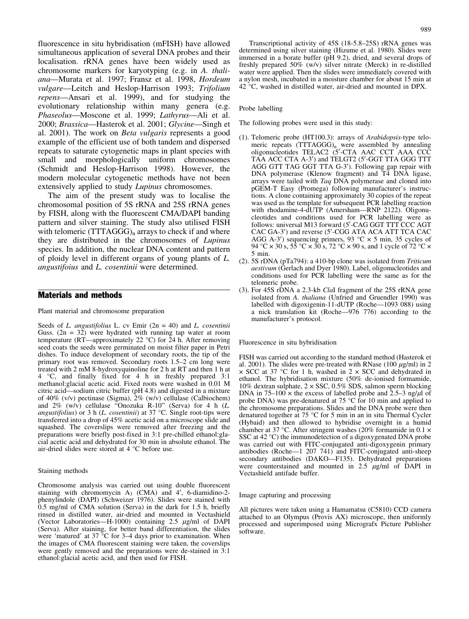fluorescence in situ hybridisation (mFISH) have allowed simultaneous application of several DNA probes and their localisation. rRNA genes have been widely used as chromosome markers for karyotyping (e.g. in A. thaliana—Murata et al. 1997; Fransz et al. 1998, Hordeum vulgare—Leitch and Heslop-Harrison 1993; Trifolium repens—Ansari et al. 1999), and for studying the evolutionary relationship within many genera (e.g. Phaseolus—Moscone et al. 1999; Lathyrus—Ali et al. 2000; Brassica—Hasterok et al. 2001; Glycine—Singh et al. 2001). The work on Beta vulgaris represents a good example of the efficient use of both tandem and dispersed repeats to saturate cytogenetic maps in plant species with small and morphologically uniform chromosomes (Schmidt and Heslop-Harrison 1998). However, the modern molecular cytogenetic methods have not been extensively applied to study Lupinus chromosomes.

The aim of the present study was to localise the chromosomal position of 5S rRNA and 25S rRNA genes by FISH, along with the fluorescent CMA/DAPI banding pattern and silver staining. The study also utilised FISH with telomeric  $(TTTAGGG)$ <sub>n</sub> arrays to check if and where they are distributed in the chromosomes of Lupinus species. In addition, the nuclear DNA content and pattern of ploidy level in different organs of young plants of L. angustifoius and L. cosentinii were determined.

## Materials and methods

Plant material and chromosome preparation

Seeds of L. angustifolius L. cv Emir  $(2n = 40)$  and L. cosentinii Guss.  $(2n = 32)$  were hydrated with running tap water at room temperature (RT—approximately 22 °C) for  $\overline{24}$  h. After removing seed coats the seeds were germinated on moist filter paper in Petri dishes. To induce development of secondary roots, the tip of the primary root was removed. Secondary roots 1.5–2 cm long were treated with 2 mM 8-hydroxyquinoline for 2 h at RT and then 1 h at 4 C, and finally fixed for 4 h in freshly prepared 3:1 methanol:glacial acetic acid. Fixed roots were washed in 0.01 M citric acid—sodium citric buffer (pH 4.8) and digested in a mixture of 40% (v/v) pectinase (Sigma), 2% (w/v) cellulase (Calbiochem) and 2% (w/v) cellulase "Onozuka R-10" (Serva) for 4 h (L. angustifolius) or 3 h (L. cosentinii) at 37 °C. Single root-tips were transferred into a drop of 45% acetic acid on a microscope slide and squashed. The coverslips were removed after freezing and the preparations were briefly post-fixed in 3:1 pre-chilled ethanol:glacial acetic acid and dehydrated for 30 min in absolute ethanol. The air-dried slides were stored at 4 °C before use.

#### Staining methods

Chromosome analysis was carried out using double fluorescent staining with chromomycin  $A_3$  (CMA) and 4', 6-diamidino-2phenylindole (DAPI) (Schweizer 1976). Slides were stained with 0.5 mg/ml of CMA solution (Serva) in the dark for 1.5 h, briefly rinsed in distilled water, air-dried and mounted in Vectashield (Vector Laboratories—H-1000) containing 2.5  $\mu$ g/ml of DAPI (Serva). After staining, for better band differentiation, the slides were 'matured' at  $37 \text{ °C}$  for  $3-4$  days prior to examination. When the images of CMA fluorescent staining were taken, the coverslips were gently removed and the preparations were de-stained in  $3:1$ ethanol:glacial acetic acid, and then used for FISH.

Transcriptional activity of 45S (18-5.8–25S) rRNA genes was determined using silver staining (Hizume et al. 1980). Slides were immersed in a borate buffer (pH 9.2), dried, and several drops of freshly prepared 50% (w/v) silver nitrate (Merck) in re-distilled water were applied. Then the slides were immediately covered with a nylon mesh, incubated in a moisture chamber for about 15 min at 42 °C, washed in distilled water, air-dried and mounted in DPX.

#### Probe labelling

The following probes were used in this study:

- (1). Telomeric probe (HT100.3): arrays of Arabidopsis-type telomeric repeats  $(TTTAGGG)_n$  were assembled by annealing oligonucleotides TELAC2 (5'-CTA AAC CCT AAA CCC TAA ACC CTA A-3') and TELGT2 (5'-GGT TTA GGG TTT AGG GTT TAG GGT TTA G-3'). Following gap repair with DNA polymerase (Klenow fragment) and T4 DNA ligase, arrays were tailed with Taq DNA polymerase and cloned into pGEM-T Easy (Promega) following manufacturer's instructions. A clone containing approximately 30 copies of the repeat was used as the template for subsequent PCR labelling reaction with rhodamine-4-dUTP (Amersham—RNP 2122). Oligonucleotides and conditions used for PCR labelling were as follows: universal M13 forward (5'-CAG GGT TTT CCC AGT CAC GA-3') and reverse (5'-CGG ATA ACA ATT TCA CAC AGG A-3') sequencing primers, 93 °C  $\times$  5 min, 35 cycles of 94 °C  $\times$  30 s, 55 °C  $\times$  30 s, 72 °C  $\times$  90 s, and 1 cycle of 72 °C  $\times$ 5 min.
- (2). 5S rDNA (pTa794): a 410-bp clone was isolated from Triticum aestivum (Gerlach and Dyer 1980). Label, oligonucleotides and conditions used for PCR labelling were the same as for the telomeric probe.
- (3). For 45S rDNA a 2.3-kb ClaI fragment of the 25S rRNA gene isolated from A. thaliana (Unfried and Gruendler 1990) was labelled with digoxigenin-11-dUTP (Roche—1093 088) using a nick translation kit (Roche—976 776) according to the manufacturer's protocol.

Fluorescence in situ hybridisation

FISH was carried out according to the standard method (Hasterok et al. 2001). The slides were pre-treated with RNase (100  $\mu$ g/ml) in 2  $\times$  SCC at 37 °C for 1 h, washed in 2  $\times$  SCC and dehydrated in ethanol. The hybridisation mixture (50% de-ionised formamide, 10% dextran sulphate,  $2 \times SSC$ , 0.5% SDS, salmon sperm blocking DNA in 75–100  $\times$  the excess of labelled probe and 2.5–3 ng/ $\mu$ l of probe DNA) was pre-denatured at 75  $^{\circ}$ C for 10 min and applied to the chromosome preparations. Slides and the DNA probe were then denatured together at  $75^{\circ}$ C for 5 min in an in situ Thermal Cycler (Hybaid) and then allowed to hybridise overnight in a humid chamber at 37 °C. After stringent washes (20% formamide in 0.1  $\times$ SSC at 42 °C) the immunodetection of a digoxygenated DNA probe was carried out with FITC-conjugated anti-digoxygenin primary antibodies (Roche—1 207 741) and FITC-conjugated anti-sheep secondary antibodies (DAKO—F135). Dehydrated preparations were counterstained and mounted in  $2.5 \mu g/ml$  of DAPI in Vectashield antifade buffer.

Image capturing and processing

All pictures were taken using a Hamamatsu (C5810) CCD camera attached to an Olympus (Provis AX) microscope, then uniformly processed and superimposed using Micrografx Picture Publisher software.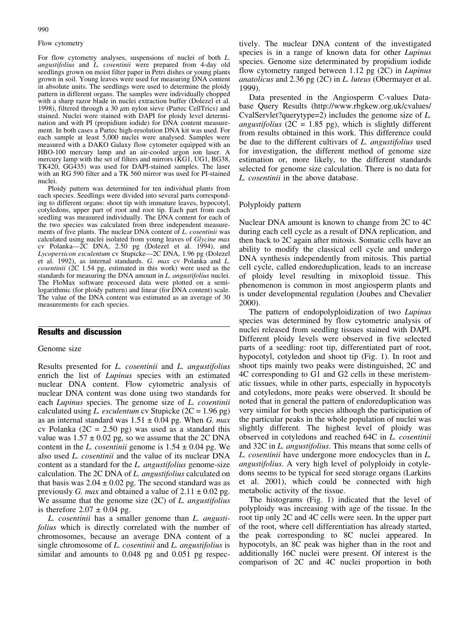## Flow cytometry

For flow cytometry analyses, suspensions of nuclei of both L. angustifolius and L. cosentinii were prepared from 4-day old seedlings grown on moist filter paper in Petri dishes or young plants grown in soil. Young leaves were used for measuring DNA content in absolute units. The seedlings were used to determine the ploidy pattern in different organs. The samples were individually chopped with a sharp razor blade in nuclei extraction buffer (Dolezel et al. 1998), filtered through a 30  $\mu$ m nylon sieve (Partec CellTrics) and stained. Nuclei were stained with DAPI for ploidy level determination and with PI (propidium iodide) for DNA content measurement. In both cases a Partec high-resolution DNA kit was used. For each sample at least 5,000 nuclei were analysed. Samples were measured with a DAKO Galaxy flow cytometer equipped with an HBO-100 mercury lamp and an air-cooled argon ion laser. A mercury lamp with the set of filters and mirrors (KG1, UG1, BG38, TK420, GG435) was used for DAPI-stained samples. The laser with an RG 590 filter and a TK 560 mirror was used for PI-stained nuclei.

Ploidy pattern was determined for ten individual plants from each species. Seedlings were divided into several parts corresponding to different organs: shoot tip with immature leaves, hypocotyl, cotyledons, upper part of root and root tip. Each part from each seedling was measured individually. The DNA content for each of the two species was calculated from three independent measurements of five plants. The nuclear DNA content of L. cosentinii was calculated using nuclei isolated from young leaves of Glycine max cv Polanka—2C DNA, 2.50 pg (Dolezel et al. 1994), and Lycopersicon esculentum cv Stupicke—2C DNA, 1.96 pg (Dolezel et al. 1992), as internal standards. G. max cv Polanka and L. cosentinii (2C 1.54 pg, estimated in this work) were used as the standards for measuring the DNA amount in L. angustifolius nuclei. The FloMax software processed data were plotted on a semilogarithmic (for ploidy pattern) and linear (for DNA content) scale. The value of the DNA content was estimated as an average of 30 measurements for each species.

## Results and discussion

## Genome size

Results presented for L. cosentinii and L. angustifolius enrich the list of *Lupinus* species with an estimated nuclear DNA content. Flow cytometric analysis of nuclear DNA content was done using two standards for each Lupinus species. The genome size of L. cosentinii calculated using L. esculentum cv Stupicke  $(2C = 1.96 \text{ pg})$ as an internal standard was  $1.51 \pm 0.04$  pg. When *G. max* cv Polanka  $(2C = 2.50 \text{ pg})$  was used as a standard this value was  $1.57 \pm 0.02$  pg, so we assume that the 2C DNA content in the L. *cosentinii* genome is  $1.54 \pm 0.04$  pg. We also used L. cosentinii and the value of its nuclear DNA content as a standard for the L. angustifolius genome-size calculation. The 2C DNA of L. angustifolius calculated on that basis was  $2.04 \pm 0.02$  pg. The second standard was as previously *G. max* and obtained a value of  $2.11 \pm 0.02$  pg. We assume that the genome size  $(2C)$  of L. angustifolius is therefore  $2.07 \pm 0.04$  pg.

L. cosentinii has a smaller genome than L. angustifolius which is directly correlated with the number of chromosomes, because an average DNA content of a single chromosome of L. cosentinii and L. angustifolius is similar and amounts to 0.048 pg and 0.051 pg respec-

tively. The nuclear DNA content of the investigated species is in a range of known data for other *Lupinus* species. Genome size determinated by propidium iodide flow cytometry ranged between 1.12 pg (2C) in *Lupinus* anatolicus and 2.36 pg (2C) in L. luteus (Obermayer et al. 1999).

Data presented in the Angiosperm C-values Database Query Results (http://www.rbgkew.org.uk/cvalues/ CvalServlet?querytype=2) includes the genome size of L. *angustifolius* ( $2C = 1.85$  pg), which is slightly different from results obtained in this work. This difference could be due to the different cultivars of L. *angustifolius* used for investigation, the different method of genome size estimation or, more likely, to the different standards selected for genome size calculation. There is no data for L. cosentinii in the above database.

#### Polyploidy pattern

Nuclear DNA amount is known to change from 2C to 4C during each cell cycle as a result of DNA replication, and then back to 2C again after mitosis. Somatic cells have an ability to modify the classical cell cycle and undergo DNA synthesis independently from mitosis. This partial cell cycle, called endoreduplication, leads to an increase of ploidy level resulting in mixoploid tissue. This phenomenon is common in most angiosperm plants and is under developmental regulation (Joubes and Chevalier 2000).

The pattern of endopolyploidization of two Lupinus species was determined by flow cytometric analysis of nuclei released from seedling tissues stained with DAPI. Different ploidy levels were observed in five selected parts of a seedling: root tip, differentiated part of root, hypocotyl, cotyledon and shoot tip (Fig. 1). In root and shoot tips mainly two peaks were distinguished, 2C and 4C corresponding to G1 and G2 cells in these meristematic tissues, while in other parts, especially in hypocotyls and cotyledons, more peaks were observed. It should be noted that in general the pattern of endoreduplication was very similar for both species although the participation of the particular peaks in the whole population of nuclei was slightly different. The highest level of ploidy was observed in cotyledons and reached 64C in L. cosentinii and 32C in L. *angustifolius*. This means that some cells of L. cosentinii have undergone more endocycles than in L. angustifolius. A very high level of polyploidy in cotyledons seems to be typical for seed storage organs (Larkins et al. 2001), which could be connected with high metabolic activity of the tissue.

The histograms (Fig. 1) indicated that the level of polyploidy was increasing with age of the tissue. In the root tip only 2C and 4C cells were seen. In the upper part of the root, where cell differentiation has already started, the peak corresponding to 8C nuclei appeared. In hypocotyls, an 8C peak was higher than in the root and additionally 16C nuclei were present. Of interest is the comparison of 2C and 4C nuclei proportion in both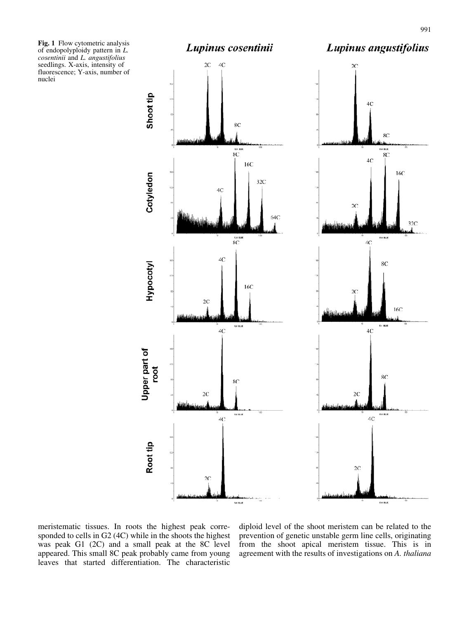Fig. 1 Flow cytometric analysis of endopolyploidy pattern in L. cosentinii and L. angustifolius seedlings. X-axis, intensity of fluorescence; Y-axis, number of nuclei



.<br>Na buo

meristematic tissues. In roots the highest peak corresponded to cells in G2 (4C) while in the shoots the highest was peak G1 (2C) and a small peak at the 8C level appeared. This small 8C peak probably came from young leaves that started differentiation. The characteristic

diploid level of the shoot meristem can be related to the prevention of genetic unstable germ line cells, originating from the shoot apical meristem tissue. This is in agreement with the results of investigations on A. thaliana

**114 BLK**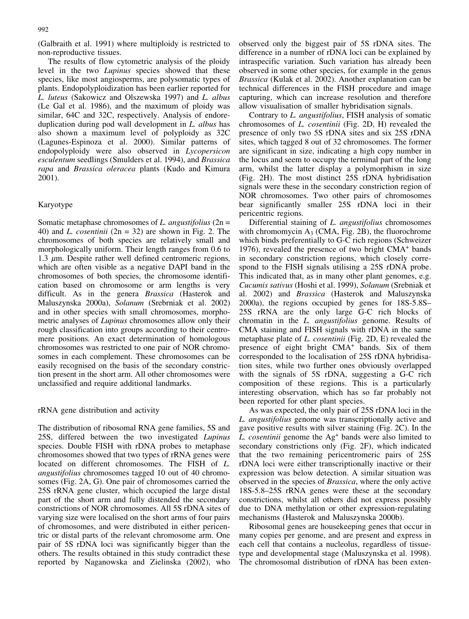The results of flow cytometric analysis of the ploidy level in the two Lupinus species showed that these species, like most angiosperms, are polysomatic types of plants. Endopolyploidization has been earlier reported for L. luteus (Sakowicz and Olszewska 1997) and L. albus (Le Gal et al. 1986), and the maximum of ploidy was similar, 64C and 32C, respectively. Analysis of endoreduplication during pod wall development in L. albus has also shown a maximum level of polyploidy as 32C (Lagunes-Espinoza et al. 2000). Similar patterns of endopolyploidy were also observed in Lycopersicon esculentum seedlings (Smulders et al. 1994), and Brassica rapa and Brassica oleracea plants (Kudo and Kimura 2001).

# Karyotype

Somatic metaphase chromosomes of  $L$ . angustifolius (2n = 40) and *L. cosentinii* ( $2n = 32$ ) are shown in Fig. 2. The chromosomes of both species are relatively small and morphologically uniform. Their length ranges from 0.6 to 1.3  $\mu$ m. Despite rather well defined centromeric regions, which are often visible as a negative DAPI band in the chromosomes of both species, the chromosome identification based on chromosome or arm lengths is very difficult. As in the genera Brassica (Hasterok and Maluszynska 2000a), Solanum (Srebrniak et al. 2002) and in other species with small chromosomes, morphometric analyses of *Lupinus* chromosomes allow only their rough classification into groups according to their centromere positions. An exact determination of homologous chromosomes was restricted to one pair of NOR chromosomes in each complement. These chromosomes can be easily recognised on the basis of the secondary constriction present in the short arm. All other chromosomes were unclassified and require additional landmarks.

# rRNA gene distribution and activity

The distribution of ribosomal RNA gene families, 5S and 25S, differed between the two investigated Lupinus species. Double FISH with rDNA probes to metaphase chromosomes showed that two types of rRNA genes were located on different chromosomes. The FISH of L. angustifolius chromosomes tagged 10 out of 40 chromosomes (Fig. 2A, G). One pair of chromosomes carried the 25S rRNA gene cluster, which occupied the large distal part of the short arm and fully distended the secondary constrictions of NOR chromosomes. All 5S rDNA sites of varying size were localised on the short arms of four pairs of chromosomes, and were distributed in either pericentric or distal parts of the relevant chromosome arm. One pair of 5S rDNA loci was significantly bigger than the others. The results obtained in this study contradict these reported by Naganowska and Zielinska (2002), who

observed only the biggest pair of 5S rDNA sites. The difference in a number of rDNA loci can be explained by intraspecific variation. Such variation has already been observed in some other species, for example in the genus *Brassica* (Kulak et al. 2002). Another explanation can be technical differences in the FISH procedure and image capturing, which can increase resolution and therefore allow visualisation of smaller hybridisation signals.

Contrary to L. angustifolius, FISH analysis of somatic chromosomes of L. cosentinii (Fig. 2D, H) revealed the presence of only two 5S rDNA sites and six 25S rDNA sites, which tagged 8 out of 32 chromosomes. The former are significant in size, indicating a high copy number in the locus and seem to occupy the terminal part of the long arm, whilst the latter display a polymorphism in size (Fig. 2H). The most distinct 25S rDNA hybridisation signals were these in the secondary constriction region of NOR chromosomes. Two other pairs of chromosomes bear significantly smaller 25S rDNA loci in their pericentric regions.

Differential staining of *L. angustifolius* chromosomes with chromomycin  $A_3$  (CMA, Fig. 2B), the fluorochrome which binds preferentially to G-C rich regions (Schweizer 1976), revealed the presence of two bright  $CMA<sup>+</sup>$  bands in secondary constriction regions, which closely correspond to the FISH signals utilising a 25S rDNA probe. This indicated that, as in many other plant genomes, e.g. Cucumis sativus (Hoshi et al. 1999), Solanum (Srebniak et al. 2002) and Brassica (Hasterok and Maluszynska 2000a), the regions occupied by genes for 18S-5.8S– 25S rRNA are the only large G-C rich blocks of chromatin in the L. angustifolius genome. Results of CMA staining and FISH signals with rDNA in the same metaphase plate of L. cosentinii (Fig. 2D, E) revealed the presence of eight bright CMA<sup>+</sup> bands. Six of them corresponded to the localisation of 25S rDNA hybridisation sites, while two further ones obviously overlapped with the signals of 5S rDNA, suggesting a G-C rich composition of these regions. This is a particularly interesting observation, which has so far probably not been reported for other plant species.

As was expected, the only pair of 25S rDNA loci in the L. angustifolius genome was transcriptionally active and gave positive results with silver staining (Fig. 2C). In the L. cosentinii genome the  $\text{Ag}^+$  bands were also limited to secondary constrictions only (Fig. 2F), which indicated that the two remaining pericentromeric pairs of 25S rDNA loci were either transcriptionally inactive or their expression was below detection. A similar situation was observed in the species of Brassica, where the only active 18S-5.8–25S rRNA genes were these at the secondary constrictions, whilst all others did not express possibly due to DNA methylation or other expression-regulating mechanisms (Hasterok and Maluszynska 2000b).

Ribosomal genes are housekeeping genes that occur in many copies per genome, and are present and express in each cell that contains a nucleolus, regardless of tissuetype and developmental stage (Maluszynska et al. 1998). The chromosomal distribution of rDNA has been exten-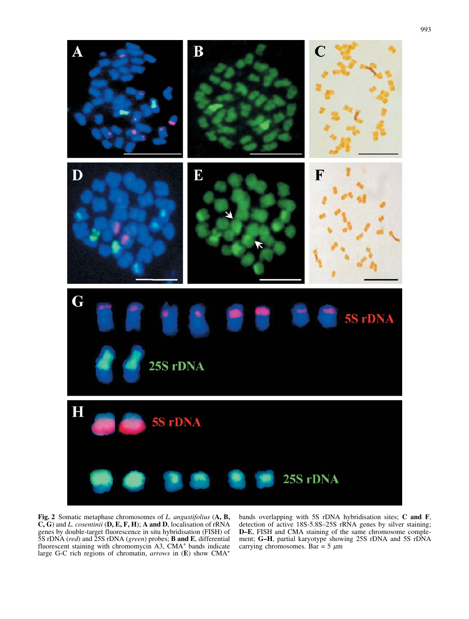

Fig. 2 Somatic metaphase chromosomes of L. angustifolius (A, B,  $C, G$ ) and *L. cosentinii* (D, E, F, H); A and D, localisation of rRNA genes by double-target fluorescence in situ hybridisation (FISH) of 5S rDNA (red) and 25S rDNA (green) probes; **B and E**, differential fluorescent staining with chromomycin A3, CMA<sup>+</sup> bands indicate large G-C rich regions of chromatin, arrows in (E) show CMA<sup>+</sup>

bands overlapping with 5S rDNA hybridisation sites; C and F, detection of active 18S-5.8S–25S rRNA genes by silver staining; D–E, FISH and CMA staining of the same chromosome complement; G–H, partial karyotype showing 25S rDNA and 5S rDNA carrying chromosomes. Bar =  $5 \mu m$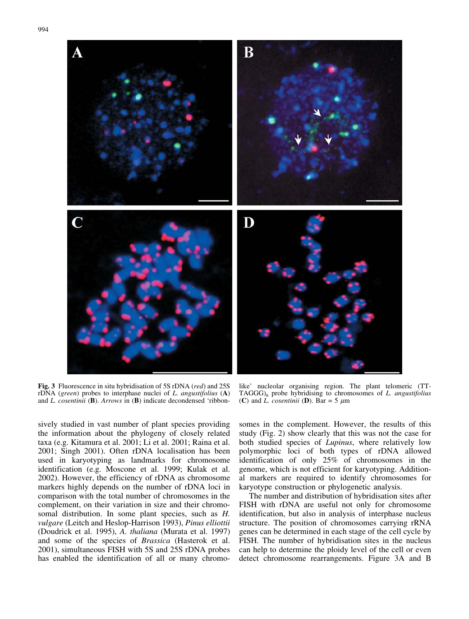

Fig. 3 Fluorescence in situ hybridisation of 5S rDNA (red) and 25S rDNA (green) probes to interphase nuclei of L. angustifolius (A) and L. cosentinii (B). Arrows in (B) indicate decondensed 'ribbon-

like' nucleolar organising region. The plant telomeric (TT- $TAGGG<sub>n</sub>$  probe hybridising to chromosomes of L. angustifolius (C) and *L. cosentinii* (D). Bar = 5  $\mu$ m

sively studied in vast number of plant species providing the information about the phylogeny of closely related taxa (e.g. Kitamura et al. 2001; Li et al. 2001; Raina et al. 2001; Singh 2001). Often rDNA localisation has been used in karyotyping as landmarks for chromosome identification (e.g. Moscone et al. 1999; Kulak et al. 2002). However, the efficiency of rDNA as chromosome markers highly depends on the number of rDNA loci in comparison with the total number of chromosomes in the complement, on their variation in size and their chromosomal distribution. In some plant species, such as *H*. vulgare (Leitch and Heslop-Harrison 1993), Pinus elliottii (Doudrick et al. 1995), A. thaliana (Murata et al. 1997) and some of the species of Brassica (Hasterok et al. 2001), simultaneous FISH with 5S and 25S rDNA probes has enabled the identification of all or many chromosomes in the complement. However, the results of this study (Fig. 2) show clearly that this was not the case for both studied species of Lupinus, where relatively low polymorphic loci of both types of rDNA allowed identification of only 25% of chromosomes in the genome, which is not efficient for karyotyping. Additional markers are required to identify chromosomes for karyotype construction or phylogenetic analysis.

The number and distribution of hybridisation sites after FISH with rDNA are useful not only for chromosome identification, but also in analysis of interphase nucleus structure. The position of chromosomes carrying rRNA genes can be determined in each stage of the cell cycle by FISH. The number of hybridisation sites in the nucleus can help to determine the ploidy level of the cell or even detect chromosome rearrangements. Figure 3A and B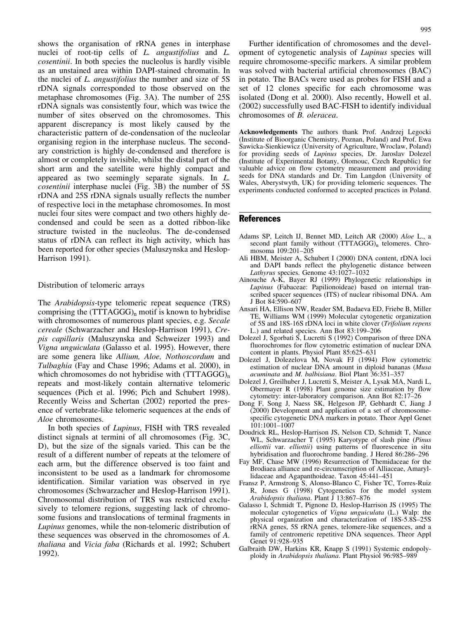shows the organisation of rRNA genes in interphase nuclei of root-tip cells of L. angustifolius and L. cosentinii. In both species the nucleolus is hardly visible as an unstained area within DAPI-stained chromatin. In the nuclei of L. angustifolius the number and size of 5S rDNA signals corresponded to those observed on the metaphase chromosomes (Fig. 3A). The number of 25S rDNA signals was consistently four, which was twice the number of sites observed on the chromosomes. This apparent discrepancy is most likely caused by the characteristic pattern of de-condensation of the nucleolar organising region in the interphase nucleus. The secondary constriction is highly de-condensed and therefore is almost or completely invisible, whilst the distal part of the short arm and the satellite were highly compact and appeared as two seemingly separate signals. In L. cosentinii interphase nuclei (Fig. 3B) the number of 5S rDNA and 25S rDNA signals usually reflects the number of respective loci in the metaphase chromosomes. In most nuclei four sites were compact and two others highly decondensed and could be seen as a dotted ribbon-like structure twisted in the nucleolus. The de-condensed status of rDNA can reflect its high activity, which has been reported for other species (Maluszynska and Heslop-Harrison 1991).

#### Distribution of telomeric arrays

The Arabidopsis-type telomeric repeat sequence (TRS) comprising the  $(TTTAGGG)_n$  motif is known to hybridise with chromosomes of numerous plant species, e.g. Secale cereale (Schwarzacher and Heslop-Harrison 1991), Crepis capillaris (Maluszynska and Schweizer 1993) and Vigna unguiculata (Galasso et al. 1995). However, there are some genera like Allium, Aloe, Nothoscordum and Tulbaghia (Fay and Chase 1996; Adams et al. 2000), in which chromosomes do not hybridise with  $(TTTAGGG)_n$ repeats and most-likely contain alternative telomeric sequences (Pich et al. 1996; Pich and Schubert 1998). Recently Weiss and Schertan (2002) reported the presence of vertebrate-like telomeric sequences at the ends of Aloe chromosomes.

In both species of Lupinus, FISH with TRS revealed distinct signals at termini of all chromosomes (Fig. 3C, D), but the size of the signals varied. This can be the result of a different number of repeats at the telomere of each arm, but the difference observed is too faint and inconsistent to be used as a landmark for chromosome identification. Similar variation was observed in rye chromosomes (Schwarzacher and Heslop-Harrison 1991). Chromosomal distribution of TRS was restricted exclusively to telomere regions, suggesting lack of chromosome fusions and translocations of terminal fragments in Lupinus genomes, while the non-telomeric distribution of these sequences was observed in the chromosomes of A. thaliana and Vicia faba (Richards et al. 1992; Schubert 1992).

Further identification of chromosomes and the development of cytogenetic analysis of Lupinus species will require chromosome-specific markers. A similar problem was solved with bacterial artificial chromosomes (BAC) in potato. The BACs were used as probes for FISH and a set of 12 clones specific for each chromosome was isolated (Dong et al. 2000). Also recently, Howell et al. (2002) successfully used BAC-FISH to identify individual chromosomes of B. oleracea.

Acknowledgements The authors thank Prof. Andrzej Legocki (Institute of Bioorganic Chemistry, Poznan, Poland) and Prof. Ewa Sawicka-Sienkiewicz (University of Agriculture, Wroclaw, Poland) for providing seeds of Lupinus species, Dr. Jaroslav Dolezel (Institute of Experimental Botany, Olomouc, Czech Republic) for valuable advice on flow cytometry measurement and providing seeds for DNA standards and Dr. Tim Langdon (University of Wales, Aberystwyth, UK) for providing telomeric sequences. The experiments conducted conformed to accepted practices in Poland.

## **References**

- Adams SP, Leitch IJ, Bennet MD, Leitch AR (2000) Aloe L., a second plant family without  $(TTTAGGG)_n$  telomeres. Chromosoma 109:201–205
- Ali HBM, Meister A, Schubert I (2000) DNA content, rDNA loci and DAPI bands reflect the phylogenetic distance between Lathyrus species. Genome 43:1027-1032
- Aïnouche A-K, Bayer RJ (1999) Phylogenetic relationships in Lupinus (Fabaceae: Papilionoideae) based on internal transcribed spacer sequences (ITS) of nuclear ribisomal DNA. Am J Bot 84:590–607
- Ansari HA, Ellison NW, Reader SM, Badaeva ED, Friebe B, Miller TE, Williams WM (1999) Molecular cytogenetic organization of 5S and 18S-16S rDNA loci in white clover (Trifolium repens L.) and related species. Ann Bot 83:199–206
- Dolezel J, Sgorbati S, Lucretti S (1992) Comparison of three DNA fluorochromes for flow cytometric estimation of nuclear DNA content in plants. Physiol Plant 85:625–631
- Dolezel J, Dolezelova M, Novak FJ (1994) Flow cytometric estimation of nuclear DNA amount in diploid bananas (Musa acuminata and M. balbisiana. Biol Plant 36:351–357
- Dolezel J, Greilhuber J, Lucretti S, Meister A, Lysak MA, Nardi L, Obermayer R (1998) Plant genome size estimation by flow cytometry: inter-laboratory comparison. Ann Bot 82:17–26
- Dong F, Song J, Naess SK, Helgeson JP, Gebhardt C, Jiang J (2000) Development and application of a set of chromosomespecific cytogenetic DNA markers in potato. Theor Appl Genet 101:1001–1007
- Doudrick RL, Heslop-Harrison JS, Nelson CD, Schmidt T, Nance WL, Schwarzacher T (1995) Karyotype of slash pine (Pinus elliottii var. elliottii) using patterns of fluorescence in situ hybridisation and fluorochrome banding. J Hered 86:286–296
- Fay MF, Chase MW (1996) Resurrection of Themidaceae for the Brodiaea alliance and re-circumscription of Alliaceae, Amaryllidaceae and Agapanthoideae. Taxon 45:441–451
- Fransz P, Armstrong S, Alonso-Blanco C, Fisher TC, Torres-Ruiz R, Jones G (1998) Cytogenetics for the model system Arabidopsis thaliana. Plant J 13:867–876
- Galasso I, Schmidt T, Pignone D, Heslop-Harrison JS (1995) The molecular cytogenetics of Vigna unguiculata (L.) Walp: the physical organization and characterization of 18S-5.8S–25S rRNA genes, 5S rRNA genes, telomere-like sequences, and a family of centromeric repetitive DNA sequences. Theor Appl Genet 91:928–935
- Galbraith DW, Harkins KR, Knapp S (1991) Systemic endopolyploidy in Arabidopsis thaliana. Plant Physiol 96:985–989